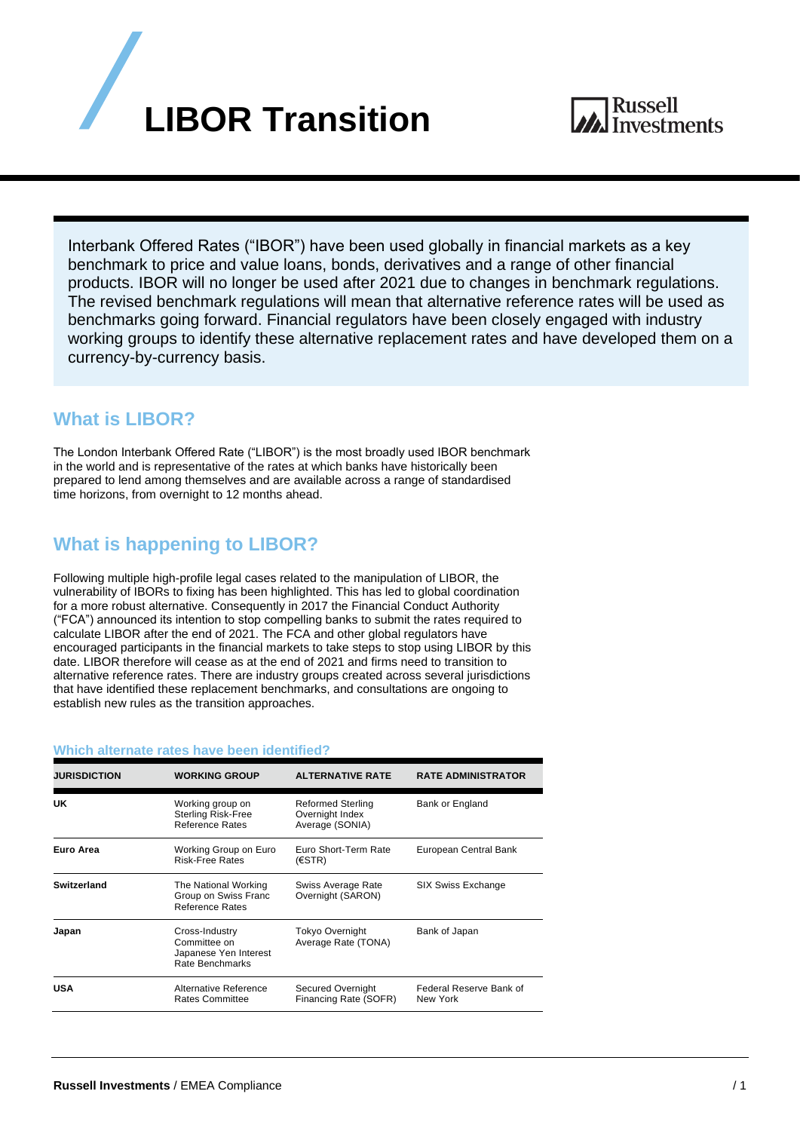

Interbank Offered Rates ("IBOR") have been used globally in financial markets as a key benchmark to price and value loans, bonds, derivatives and a range of other financial products. IBOR will no longer be used after 2021 due to changes in benchmark regulations. The revised benchmark regulations will mean that alternative reference rates will be used as benchmarks going forward. Financial regulators have been closely engaged with industry working groups to identify these alternative replacement rates and have developed them on a currency-by-currency basis.

## **What is LIBOR?**

The London Interbank Offered Rate ("LIBOR") is the most broadly used IBOR benchmark in the world and is representative of the rates at which banks have historically been prepared to lend among themselves and are available across a range of standardised time horizons, from overnight to 12 months ahead.

## **What is happening to LIBOR?**

Following multiple high-profile legal cases related to the manipulation of LIBOR, the vulnerability of IBORs to fixing has been highlighted. This has led to global coordination for a more robust alternative. Consequently in 2017 the Financial Conduct Authority ("FCA") announced its intention to stop compelling banks to submit the rates required to calculate LIBOR after the end of 2021. The FCA and other global regulators have encouraged participants in the financial markets to take steps to stop using LIBOR by this date. LIBOR therefore will cease as at the end of 2021 and firms need to transition to alternative reference rates. There are industry groups created across several jurisdictions that have identified these replacement benchmarks, and consultations are ongoing to establish new rules as the transition approaches.

| <b>JURISDICTION</b> | <b>WORKING GROUP</b>                                                       | <b>ALTERNATIVE RATE</b>                                        | <b>RATE ADMINISTRATOR</b>           |
|---------------------|----------------------------------------------------------------------------|----------------------------------------------------------------|-------------------------------------|
| UK                  | Working group on<br><b>Sterling Risk-Free</b><br>Reference Rates           | <b>Reformed Sterling</b><br>Overnight Index<br>Average (SONIA) | <b>Bank or England</b>              |
| Euro Area           | Working Group on Euro<br><b>Risk-Free Rates</b>                            | Euro Short-Term Rate<br>(ESTR)                                 | European Central Bank               |
| Switzerland         | The National Working<br>Group on Swiss Franc<br>Reference Rates            | Swiss Average Rate<br>Overnight (SARON)                        | <b>SIX Swiss Exchange</b>           |
| Japan               | Cross-Industry<br>Committee on<br>Japanese Yen Interest<br>Rate Benchmarks | <b>Tokyo Overnight</b><br>Average Rate (TONA)                  | Bank of Japan                       |
| <b>USA</b>          | Alternative Reference<br><b>Rates Committee</b>                            | Secured Overnight<br>Financing Rate (SOFR)                     | Federal Reserve Bank of<br>New York |

## **Which alternate rates have been identified?**